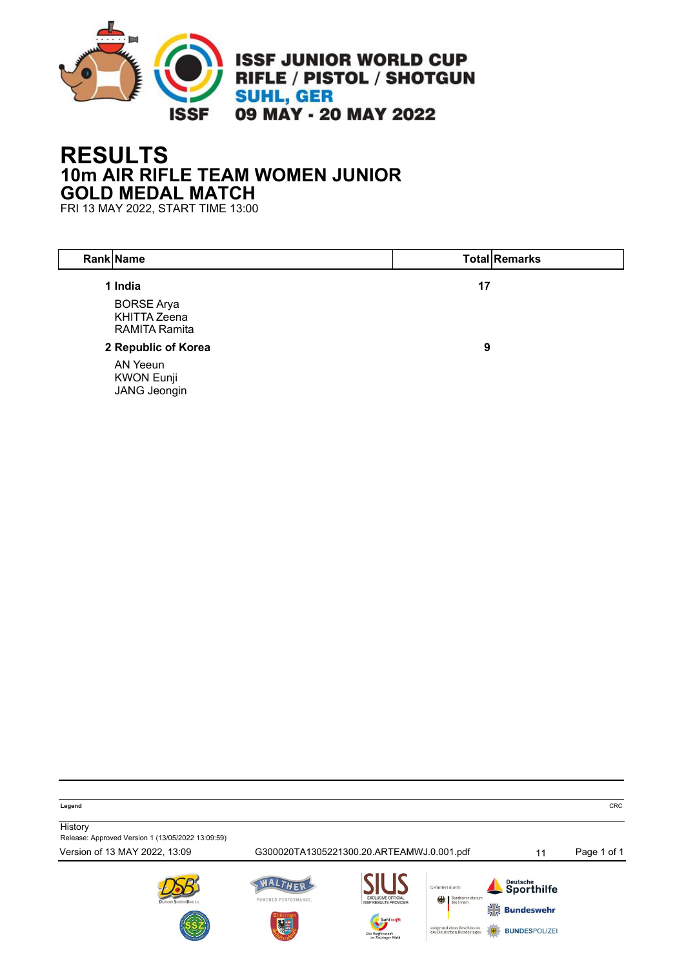

# **RESULTS 10m AIR RIFLE TEAM WOMEN JUNIOR GOLD MEDAL MATCH**

FRI 13 MAY 2022, START TIME 13:00

| Rank Name                                                                   |    | <b>Total Remarks</b> |
|-----------------------------------------------------------------------------|----|----------------------|
| 1 India<br><b>BORSE Arya</b><br><b>KHITTA Zeena</b><br><b>RAMITA Ramita</b> | 17 |                      |
| 2 Republic of Korea                                                         | 9  |                      |
| AN Yeeun<br><b>KWON Eunji</b><br><b>JANG Jeongin</b>                        |    |                      |

**Legend** CRC

**History** 

Release: Approved Version 1 (13/05/2022 13:09:59)

Version of 13 MAY 2022, 13:09 G300020TA1305221300.20.ARTEAMWJ.0.001.pdf 11 Page 1 of 1









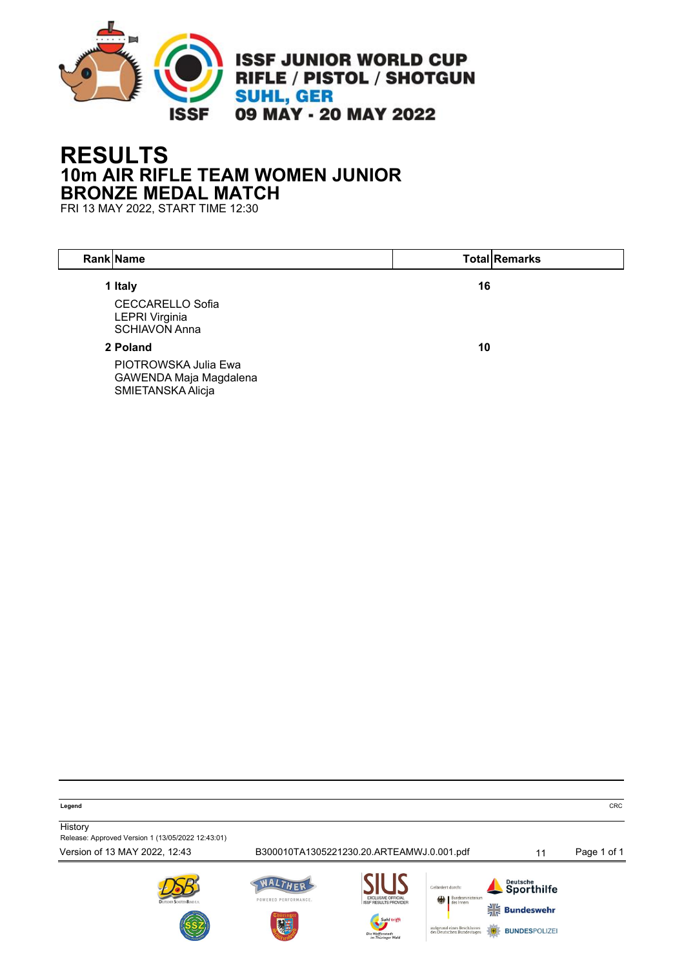

# **RESULTS 10m AIR RIFLE TEAM WOMEN JUNIOR BRONZE MEDAL MATCH**

FRI 13 MAY 2022, START TIME 12:30

| Rank Name                                                                           |    | <b>Total Remarks</b> |
|-------------------------------------------------------------------------------------|----|----------------------|
| 1 Italy<br><b>CECCARELLO Sofia</b><br><b>LEPRI Virginia</b><br><b>SCHIAVON Anna</b> | 16 |                      |
| 2 Poland                                                                            | 10 |                      |
| PIOTROWSKA Julia Ewa<br>GAWENDA Maja Magdalena<br>SMIETANSKA Alicja                 |    |                      |

**Legend** CRC

**History** 

Release: Approved Version 1 (13/05/2022 12:43:01)

Version of 13 MAY 2022, 12:43 B300010TA1305221230.20.ARTEAMWJ.0.001.pdf 11 Page 1 of 1







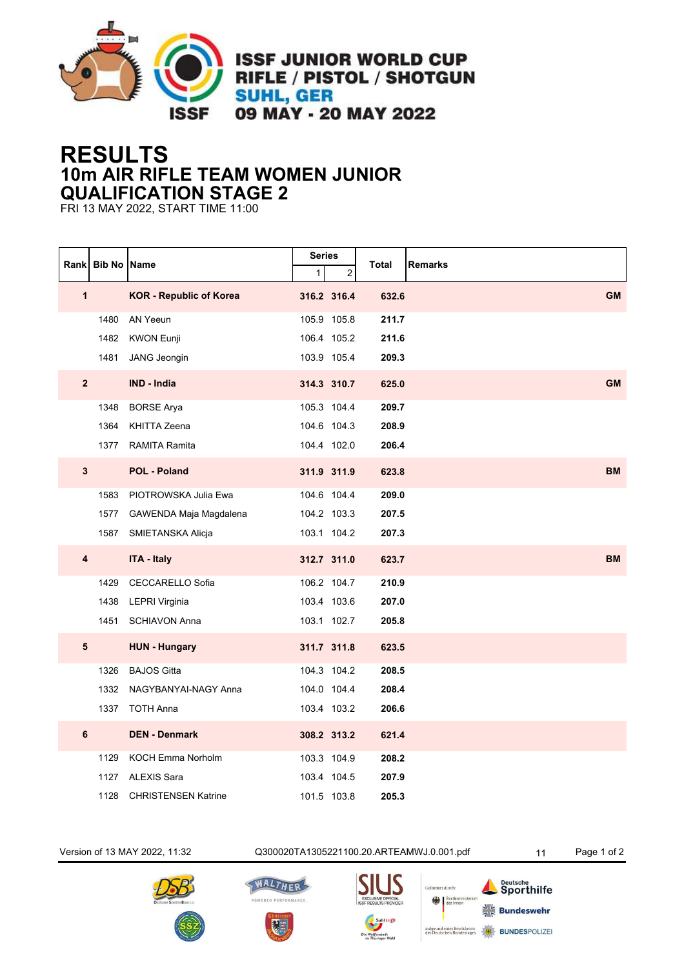

**ISSF JUNIOR WORLD CUP** RIFLE / PISTOL / SHOTGUN **SUHL, GER** 09 MAY - 20 MAY 2022

## **RESULTS 10m AIR RIFLE TEAM WOMEN JUNIOR QUALIFICATION STAGE 2**

FRI 13 MAY 2022, START TIME 11:00

|                         | Rank Bib No Name |                                | <b>Series</b> |                | <b>Total</b> | <b>Remarks</b> |
|-------------------------|------------------|--------------------------------|---------------|----------------|--------------|----------------|
|                         |                  |                                | $\mathbf{1}$  | $\overline{c}$ |              |                |
| $\mathbf{1}$            |                  | <b>KOR - Republic of Korea</b> |               | 316.2 316.4    | 632.6        | <b>GM</b>      |
|                         | 1480             | AN Yeeun                       |               | 105.9 105.8    | 211.7        |                |
|                         | 1482             | <b>KWON Eunji</b>              |               | 106.4 105.2    | 211.6        |                |
|                         | 1481             | <b>JANG Jeongin</b>            |               | 103.9 105.4    | 209.3        |                |
| $\overline{\mathbf{2}}$ |                  | <b>IND - India</b>             |               | 314.3 310.7    | 625.0        | <b>GM</b>      |
|                         | 1348             | <b>BORSE Arya</b>              |               | 105.3 104.4    | 209.7        |                |
|                         | 1364             | KHITTA Zeena                   |               | 104.6 104.3    | 208.9        |                |
|                         |                  | 1377 RAMITA Ramita             |               | 104.4 102.0    | 206.4        |                |
| 3                       |                  | <b>POL - Poland</b>            |               | 311.9 311.9    | 623.8        | <b>BM</b>      |
|                         | 1583             | PIOTROWSKA Julia Ewa           |               | 104.6 104.4    | 209.0        |                |
|                         |                  | 1577 GAWENDA Maja Magdalena    |               | 104.2 103.3    | 207.5        |                |
|                         | 1587             | SMIETANSKA Alicja              |               | 103.1 104.2    | 207.3        |                |
| $\overline{\mathbf{4}}$ |                  | <b>ITA - Italy</b>             |               | 312.7 311.0    | 623.7        | <b>BM</b>      |
|                         | 1429             | CECCARELLO Sofia               |               | 106.2 104.7    | 210.9        |                |
|                         | 1438             | <b>LEPRI Virginia</b>          |               | 103.4 103.6    | 207.0        |                |
|                         | 1451             | <b>SCHIAVON Anna</b>           |               | 103.1 102.7    | 205.8        |                |
| 5                       |                  | <b>HUN - Hungary</b>           |               | 311.7 311.8    | 623.5        |                |
|                         | 1326             | <b>BAJOS Gitta</b>             |               | 104.3 104.2    | 208.5        |                |
|                         | 1332             | NAGYBANYAI-NAGY Anna           |               | 104.0 104.4    | 208.4        |                |
|                         | 1337             | <b>TOTH Anna</b>               |               | 103.4 103.2    | 206.6        |                |
| 6                       |                  | <b>DEN - Denmark</b>           |               | 308.2 313.2    | 621.4        |                |
|                         | 1129             | KOCH Emma Norholm              |               | 103.3 104.9    | 208.2        |                |
|                         | 1127             | <b>ALEXIS Sara</b>             |               | 103.4 104.5    | 207.9        |                |
|                         | 1128             | <b>CHRISTENSEN Katrine</b>     |               | 101.5 103.8    | 205.3        |                |

Version of 13 MAY 2022, 11:32 Q300020TA1305221100.20.ARTEAMWJ.0.001.pdf 11 Page 1 of 2









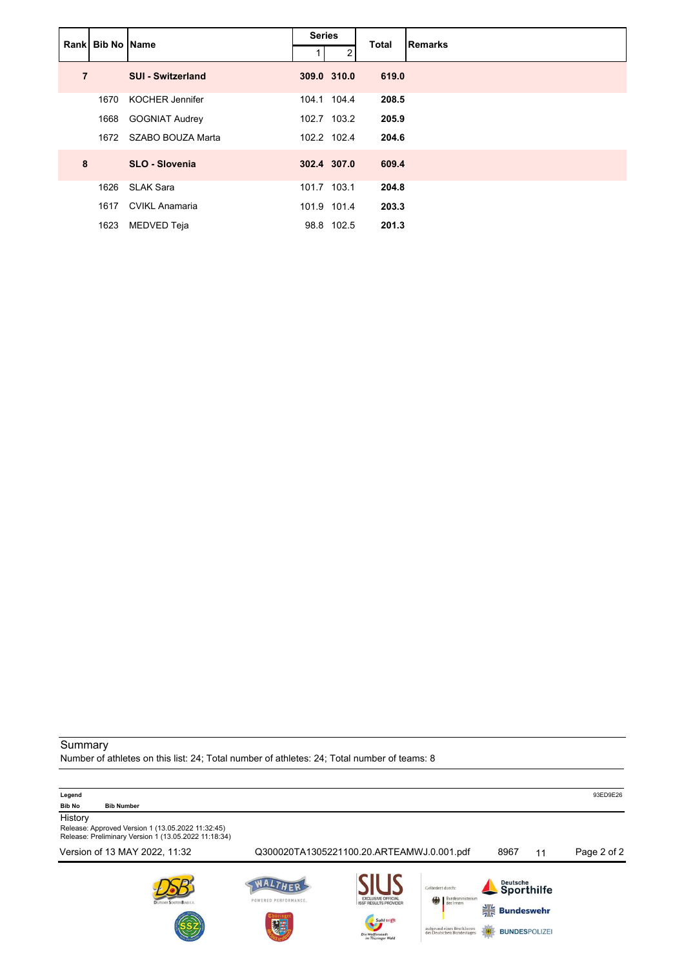|                | Rank Bib No Name |                          | <b>Series</b> |             | <b>Total</b> | <b>Remarks</b> |
|----------------|------------------|--------------------------|---------------|-------------|--------------|----------------|
|                |                  |                          |               | 2           |              |                |
| $\overline{7}$ |                  | <b>SUI - Switzerland</b> |               | 309.0 310.0 | 619.0        |                |
|                | 1670             | <b>KOCHER Jennifer</b>   |               | 104.1 104.4 | 208.5        |                |
|                | 1668             | <b>GOGNIAT Audrey</b>    |               | 102.7 103.2 | 205.9        |                |
|                | 1672             | SZABO BOUZA Marta        |               | 102.2 102.4 | 204.6        |                |
| 8              |                  | <b>SLO - Slovenia</b>    |               | 302.4 307.0 | 609.4        |                |
|                | 1626             | <b>SLAK Sara</b>         |               | 101.7 103.1 | 204.8        |                |
|                | 1617             | <b>CVIKL Anamaria</b>    |               | 101.9 101.4 | 203.3        |                |
|                | 1623             | MEDVED Teja              |               | 98.8 102.5  | 201.3        |                |

### Summary Number of athletes on this list: 24; Total number of athletes: 24; Total number of teams: 8

| Legend<br><b>Bib No</b><br><b>Bib Number</b>                                                                         |                           |                                                                                                                  |                                                                                                                     |                                                                                      |    | 93ED9E26    |
|----------------------------------------------------------------------------------------------------------------------|---------------------------|------------------------------------------------------------------------------------------------------------------|---------------------------------------------------------------------------------------------------------------------|--------------------------------------------------------------------------------------|----|-------------|
| History<br>Release: Approved Version 1 (13.05.2022 11:32:45)<br>Release: Preliminary Version 1 (13.05.2022 11:18:34) |                           |                                                                                                                  |                                                                                                                     |                                                                                      |    |             |
| Version of 13 MAY 2022, 11:32                                                                                        |                           | Q300020TA1305221100.20.ARTEAMWJ.0.001.pdf                                                                        |                                                                                                                     | 8967                                                                                 | 11 | Page 2 of 2 |
| Drutscien ScientificBuld E.V.                                                                                        | POWERED PERFORMANCE.<br>题 | <b>EXCLUSIVE OFFICIAL</b><br><b>ISSF RESULTS PROVIDER</b><br>Suhl trifft<br>Die Waffenstadt<br>im Thüringer Wald | Gefördert durch:<br>Bundesministerium<br>des Innern<br>编<br>aufgrund eines Beschlusses<br>des Deutschen Bundestages | Deutsche<br>Sporthilfe<br>$\frac{1}{7}$<br><b>Bundeswehr</b><br><b>BUNDESPOLIZEI</b> |    |             |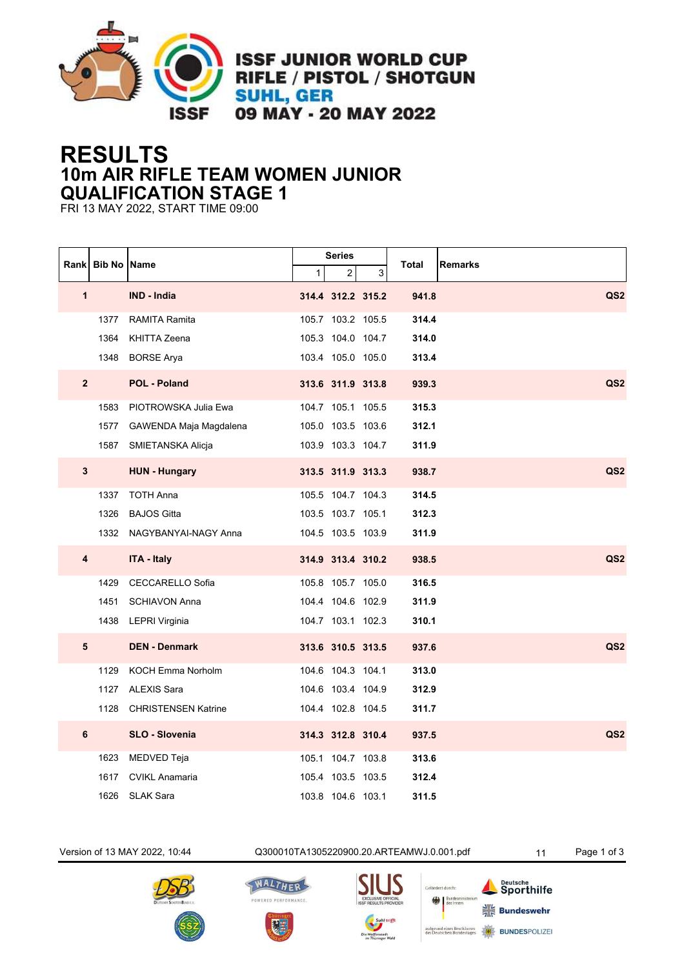

**ISSF JUNIOR WORLD CUP** RIFLE / PISTOL / SHOTGUN **SUHL, GER** 09 MAY - 20 MAY 2022

## **RESULTS 10m AIR RIFLE TEAM WOMEN JUNIOR QUALIFICATION STAGE 1**

FRI 13 MAY 2022, START TIME 09:00

|                | Rank Bib No Name |                            |              | <b>Series</b>     |   | Total | <b>Remarks</b>  |
|----------------|------------------|----------------------------|--------------|-------------------|---|-------|-----------------|
|                |                  |                            | $\mathbf{1}$ | 2                 | 3 |       |                 |
| $\mathbf{1}$   |                  | <b>IND - India</b>         |              | 314.4 312.2 315.2 |   | 941.8 | QS <sub>2</sub> |
|                | 1377             | <b>RAMITA Ramita</b>       |              | 105.7 103.2 105.5 |   | 314.4 |                 |
|                | 1364             | <b>KHITTA Zeena</b>        |              | 105.3 104.0 104.7 |   | 314.0 |                 |
|                |                  | 1348 BORSE Arya            |              | 103.4 105.0 105.0 |   | 313.4 |                 |
| $\overline{2}$ |                  | POL - Poland               |              | 313.6 311.9 313.8 |   | 939.3 | QS <sub>2</sub> |
|                | 1583             | PIOTROWSKA Julia Ewa       |              | 104.7 105.1 105.5 |   | 315.3 |                 |
|                | 1577             | GAWENDA Maja Magdalena     |              | 105.0 103.5 103.6 |   | 312.1 |                 |
|                |                  | 1587 SMIETANSKA Alicja     |              | 103.9 103.3 104.7 |   | 311.9 |                 |
| 3              |                  | <b>HUN - Hungary</b>       |              | 313.5 311.9 313.3 |   | 938.7 | QS <sub>2</sub> |
|                | 1337             | <b>TOTH Anna</b>           |              | 105.5 104.7 104.3 |   | 314.5 |                 |
|                | 1326             | <b>BAJOS Gitta</b>         |              | 103.5 103.7 105.1 |   | 312.3 |                 |
|                |                  | 1332 NAGYBANYAI-NAGY Anna  |              | 104.5 103.5 103.9 |   | 311.9 |                 |
| 4              |                  | <b>ITA - Italy</b>         |              | 314.9 313.4 310.2 |   | 938.5 | QS <sub>2</sub> |
|                | 1429             | <b>CECCARELLO Sofia</b>    |              | 105.8 105.7 105.0 |   | 316.5 |                 |
|                | 1451             | <b>SCHIAVON Anna</b>       |              | 104.4 104.6 102.9 |   | 311.9 |                 |
|                |                  | 1438 LEPRI Virginia        |              | 104.7 103.1 102.3 |   | 310.1 |                 |
| 5              |                  | <b>DEN - Denmark</b>       |              | 313.6 310.5 313.5 |   | 937.6 | QS <sub>2</sub> |
|                | 1129             | <b>KOCH Emma Norholm</b>   |              | 104.6 104.3 104.1 |   | 313.0 |                 |
|                | 1127             | <b>ALEXIS Sara</b>         |              | 104.6 103.4 104.9 |   | 312.9 |                 |
|                | 1128             | <b>CHRISTENSEN Katrine</b> |              | 104.4 102.8 104.5 |   | 311.7 |                 |
| 6              |                  | SLO - Slovenia             |              | 314.3 312.8 310.4 |   | 937.5 | QS <sub>2</sub> |
|                | 1623             | MEDVED Teja                |              | 105.1 104.7 103.8 |   | 313.6 |                 |
|                | 1617             | <b>CVIKL Anamaria</b>      |              | 105.4 103.5 103.5 |   | 312.4 |                 |
|                | 1626             | <b>SLAK Sara</b>           |              | 103.8 104.6 103.1 |   | 311.5 |                 |

Version of 13 MAY 2022, 10:44 Q300010TA1305220900.20.ARTEAMWJ.0.001.pdf 11 Page 1 of 3







Bunde<br>decis

Deutsche<br>Sporthilfe  $\frac{1}{16}$  Bundeswehr **BUNDESPOLIZEI**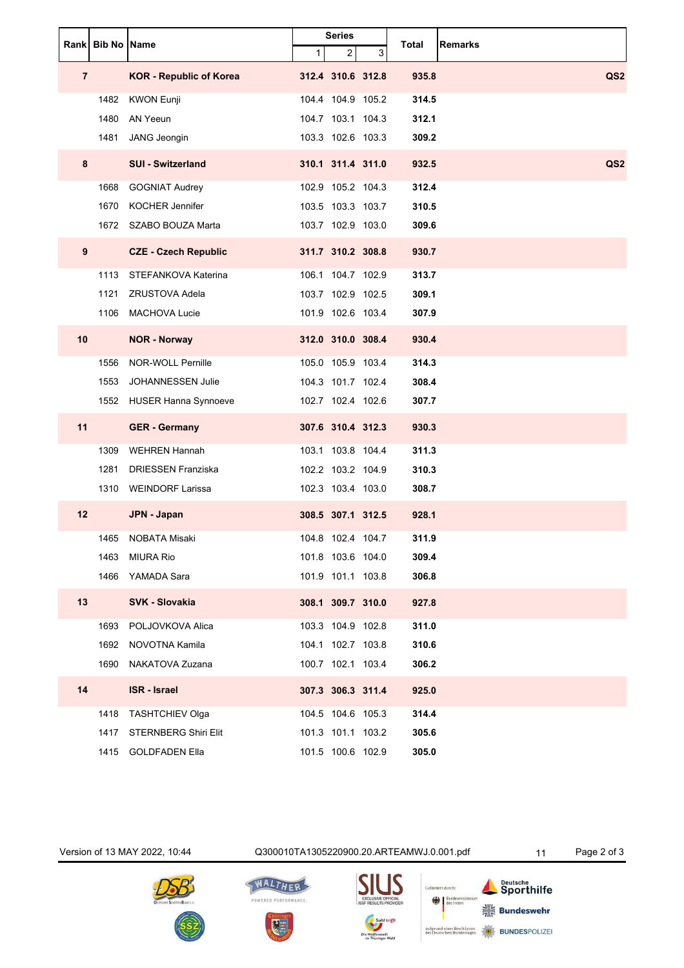|                | Rank Bib No Name |                                |                | <b>Series</b>     |   | Total | <b>Remarks</b>  |
|----------------|------------------|--------------------------------|----------------|-------------------|---|-------|-----------------|
|                |                  |                                | 1 <sup>1</sup> | $\overline{2}$    | 3 |       |                 |
| $\overline{7}$ |                  | <b>KOR - Republic of Korea</b> |                | 312.4 310.6 312.8 |   | 935.8 | QS <sub>2</sub> |
|                | 1482             | <b>KWON Eunji</b>              |                | 104.4 104.9 105.2 |   | 314.5 |                 |
|                | 1480             | AN Yeeun                       |                | 104.7 103.1 104.3 |   | 312.1 |                 |
|                | 1481             | JANG Jeongin                   |                | 103.3 102.6 103.3 |   | 309.2 |                 |
| $\bf{8}$       |                  | <b>SUI - Switzerland</b>       |                | 310.1 311.4 311.0 |   | 932.5 | QS <sub>2</sub> |
|                | 1668             | <b>GOGNIAT Audrey</b>          |                | 102.9 105.2 104.3 |   | 312.4 |                 |
|                | 1670             | <b>KOCHER Jennifer</b>         |                | 103.5 103.3 103.7 |   | 310.5 |                 |
|                |                  | 1672 SZABO BOUZA Marta         |                | 103.7 102.9 103.0 |   | 309.6 |                 |
| 9              |                  | <b>CZE - Czech Republic</b>    |                | 311.7 310.2 308.8 |   | 930.7 |                 |
|                | 1113             | STEFANKOVA Katerina            |                | 106.1 104.7 102.9 |   | 313.7 |                 |
|                | 1121             | <b>ZRUSTOVA Adela</b>          |                | 103.7 102.9 102.5 |   | 309.1 |                 |
|                | 1106             | <b>MACHOVA Lucie</b>           |                | 101.9 102.6 103.4 |   | 307.9 |                 |
| 10             |                  | <b>NOR - Norway</b>            |                | 312.0 310.0 308.4 |   | 930.4 |                 |
|                | 1556             | NOR-WOLL Pernille              |                | 105.0 105.9 103.4 |   | 314.3 |                 |
|                | 1553             | <b>JOHANNESSEN Julie</b>       |                | 104.3 101.7 102.4 |   | 308.4 |                 |
|                |                  | 1552 HUSER Hanna Synnoeve      |                | 102.7 102.4 102.6 |   | 307.7 |                 |
| 11             |                  | <b>GER</b> - Germany           |                | 307.6 310.4 312.3 |   | 930.3 |                 |
|                | 1309             | <b>WEHREN Hannah</b>           |                | 103.1 103.8 104.4 |   | 311.3 |                 |
|                | 1281             | <b>DRIESSEN Franziska</b>      |                | 102.2 103.2 104.9 |   | 310.3 |                 |
|                | 1310             | WEINDORF Larissa               |                | 102.3 103.4 103.0 |   | 308.7 |                 |
| 12             |                  | JPN - Japan                    |                | 308.5 307.1 312.5 |   | 928.1 |                 |
|                | 1465             | NOBATA Misaki                  |                | 104.8 102.4 104.7 |   | 311.9 |                 |
|                | 1463             | <b>MIURA Rio</b>               |                | 101.8 103.6 104.0 |   | 309.4 |                 |
|                | 1466             | YAMADA Sara                    |                | 101.9 101.1 103.8 |   | 306.8 |                 |
| 13             |                  | <b>SVK - Slovakia</b>          |                | 308.1 309.7 310.0 |   | 927.8 |                 |
|                | 1693             | POLJOVKOVA Alica               |                | 103.3 104.9 102.8 |   | 311.0 |                 |
|                | 1692             | NOVOTNA Kamila                 |                | 104.1 102.7 103.8 |   | 310.6 |                 |
|                | 1690             | NAKATOVA Zuzana                |                | 100.7 102.1 103.4 |   | 306.2 |                 |
| 14             |                  | <b>ISR</b> - Israel            |                | 307.3 306.3 311.4 |   | 925.0 |                 |
|                | 1418             | <b>TASHTCHIEV Olga</b>         |                | 104.5 104.6 105.3 |   | 314.4 |                 |
|                | 1417             | <b>STERNBERG Shiri Elit</b>    |                | 101.3 101.1 103.2 |   | 305.6 |                 |
|                | 1415             | <b>GOLDFADEN Ella</b>          |                | 101.5 100.6 102.9 |   | 305.0 |                 |

Version of 13 MAY 2022, 10:44 Q300010TA1305220900.20.ARTEAMWJ.0.001.pdf 11 Page 2 of 3